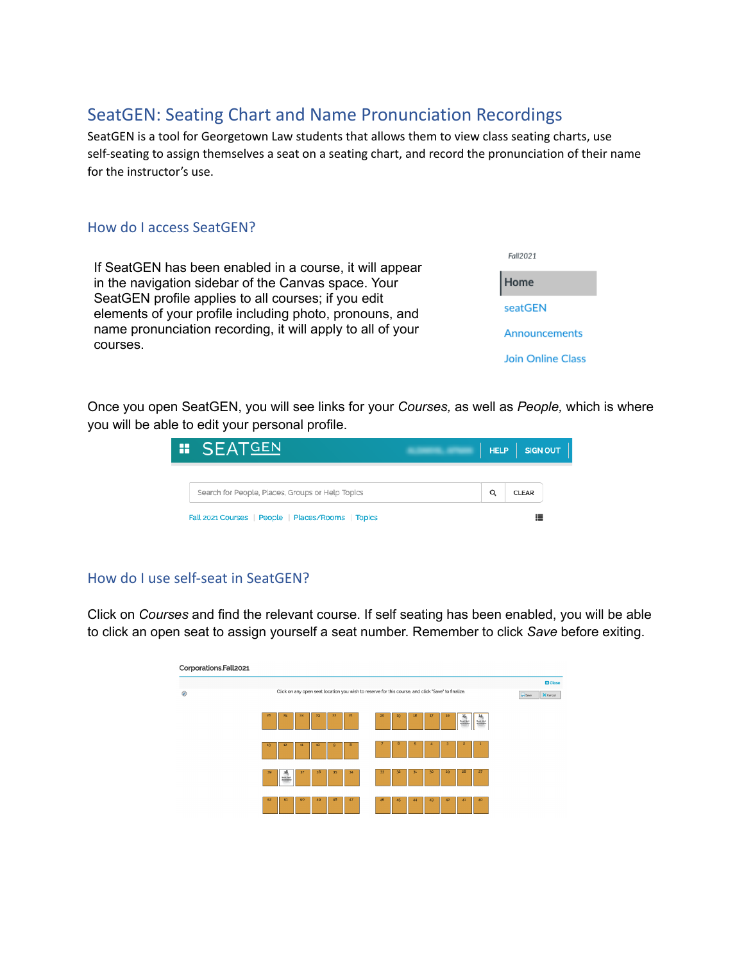# SeatGEN: Seating Chart and Name Pronunciation Recordings

SeatGEN is a tool for Georgetown Law students that allows them to view class seating charts, use self-seating to assign themselves a seat on a seating chart, and record the pronunciation of their name for the instructor's use.

## How do I access SeatGEN?

If SeatGEN has been enabled in a course, it will appear in the navigation sidebar of the Canvas space. Your SeatGEN profile applies to all courses; if you edit elements of your profile including photo, pronouns, and name pronunciation recording, it will apply to all of your courses.

Fall2021 Home seatGEN Announcements **Join Online Class** 

Once you open SeatGEN, you will see links for your *Courses,* as well as *People,* which is where you will be able to edit your personal profile.

| <b># SEATGEN</b>                                                                                       |   | SIGN OUT<br>HELP  |  |
|--------------------------------------------------------------------------------------------------------|---|-------------------|--|
|                                                                                                        |   |                   |  |
| Search for People, Places, Groups or Help Topics<br>Fall 2021 Courses   People   Places/Rooms   Topics | Q | <b>CLEAR</b><br>₩ |  |

# How do I use self-seat in SeatGEN?

Click on *Courses* and find the relevant course. If self seating has been enabled, you will be able to click an open seat to assign yourself a seat number. Remember to click *Save* before exiting.